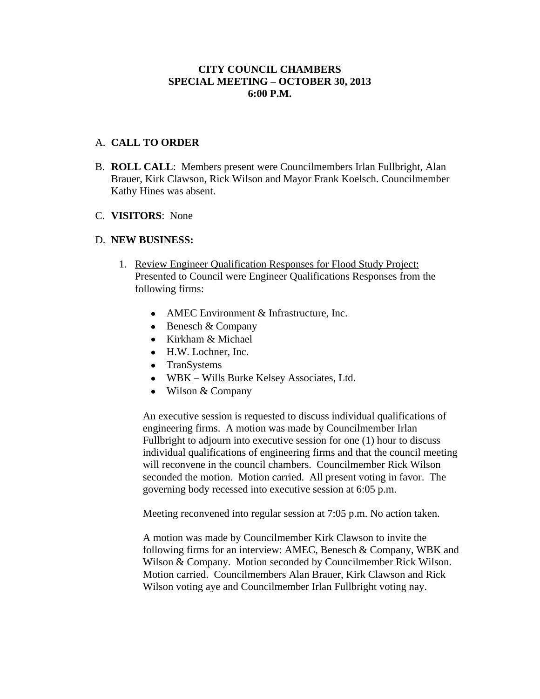## **CITY COUNCIL CHAMBERS SPECIAL MEETING – OCTOBER 30, 2013 6:00 P.M.**

## A. **CALL TO ORDER**

- B. **ROLL CALL**: Members present were Councilmembers Irlan Fullbright, Alan Brauer, Kirk Clawson, Rick Wilson and Mayor Frank Koelsch. Councilmember Kathy Hines was absent.
- C. **VISITORS**: None

## D. **NEW BUSINESS:**

- 1. Review Engineer Qualification Responses for Flood Study Project: Presented to Council were Engineer Qualifications Responses from the following firms:
	- AMEC Environment & Infrastructure, Inc.
	- $\bullet$  Benesch & Company
	- Kirkham & Michael
	- H.W. Lochner, Inc.
	- TranSystems
	- WBK Wills Burke Kelsey Associates, Ltd.
	- Wilson & Company

An executive session is requested to discuss individual qualifications of engineering firms. A motion was made by Councilmember Irlan Fullbright to adjourn into executive session for one (1) hour to discuss individual qualifications of engineering firms and that the council meeting will reconvene in the council chambers. Councilmember Rick Wilson seconded the motion. Motion carried. All present voting in favor. The governing body recessed into executive session at 6:05 p.m.

Meeting reconvened into regular session at 7:05 p.m. No action taken.

A motion was made by Councilmember Kirk Clawson to invite the following firms for an interview: AMEC, Benesch & Company, WBK and Wilson & Company. Motion seconded by Councilmember Rick Wilson. Motion carried. Councilmembers Alan Brauer, Kirk Clawson and Rick Wilson voting aye and Councilmember Irlan Fullbright voting nay.